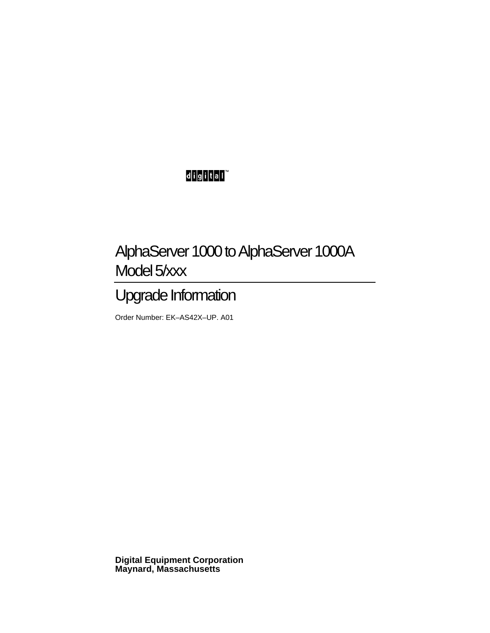## digital<sup>"</sup>

## AlphaServer 1000 to AlphaServer 1000A Model 5/xxx

## Upgrade Information

Order Number: EK–AS42X–UP. A01

**Digital Equipment Corporation Maynard, Massachusetts**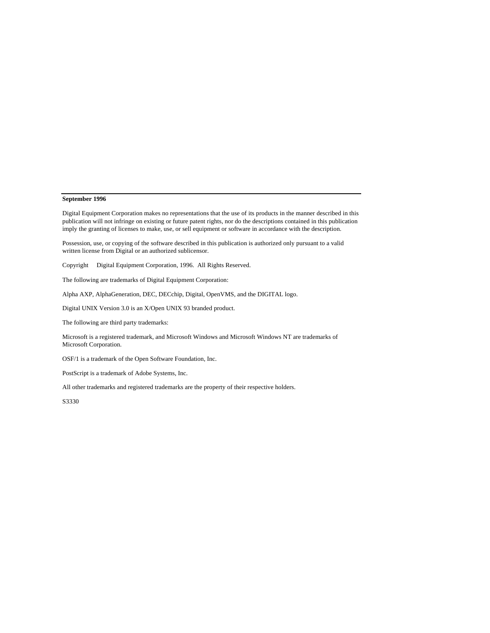#### **September 1996**

Digital Equipment Corporation makes no representations that the use of its products in the manner described in this publication will not infringe on existing or future patent rights, nor do the descriptions contained in this publication imply the granting of licenses to make, use, or sell equipment or software in accordance with the description.

Possession, use, or copying of the software described in this publication is authorized only pursuant to a valid written license from Digital or an authorized sublicensor.

Copyright © Digital Equipment Corporation, 1996. All Rights Reserved.

The following are trademarks of Digital Equipment Corporation:

Alpha AXP, AlphaGeneration, DEC, DECchip, Digital, OpenVMS, and the DIGITAL logo.

Digital UNIX Version 3.0 is an X/Open UNIX 93 branded product.

The following are third party trademarks:

Microsoft is a registered trademark, and Microsoft Windows and Microsoft Windows NT are trademarks of Microsoft Corporation.

OSF/1 is a trademark of the Open Software Foundation, Inc.

PostScript is a trademark of Adobe Systems, Inc.

All other trademarks and registered trademarks are the property of their respective holders.

S3330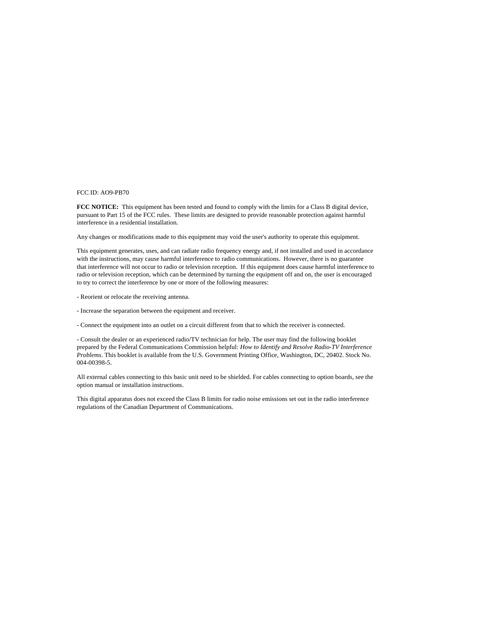#### FCC ID: AO9-PB70

**FCC NOTICE:** This equipment has been tested and found to comply with the limits for a Class B digital device, pursuant to Part 15 of the FCC rules. These limits are designed to provide reasonable protection against harmful interference in a residential installation.

Any changes or modifications made to this equipment may void the user's authority to operate this equipment.

This equipment generates, uses, and can radiate radio frequency energy and, if not installed and used in accordance with the instructions, may cause harmful interference to radio communications. However, there is no guarantee that interference will not occur to radio or television reception. If this equipment does cause harmful interference to radio or television reception, which can be determined by turning the equipment off and on, the user is encouraged to try to correct the interference by one or more of the following measures:

- Reorient or relocate the receiving antenna.
- Increase the separation between the equipment and receiver.
- Connect the equipment into an outlet on a circuit different from that to which the receiver is connected.

- Consult the dealer or an experienced radio/TV technician for help. The user may find the following booklet prepared by the Federal Communications Commission helpful: *How to Identify and Resolve Radio-TV Interference Problems*. This booklet is available from the U.S. Government Printing Office, Washington, DC, 20402. Stock No. 004-00398-5.

All external cables connecting to this basic unit need to be shielded. For cables connecting to option boards, see the option manual or installation instructions.

This digital apparatus does not exceed the Class B limits for radio noise emissions set out in the radio interference regulations of the Canadian Department of Communications.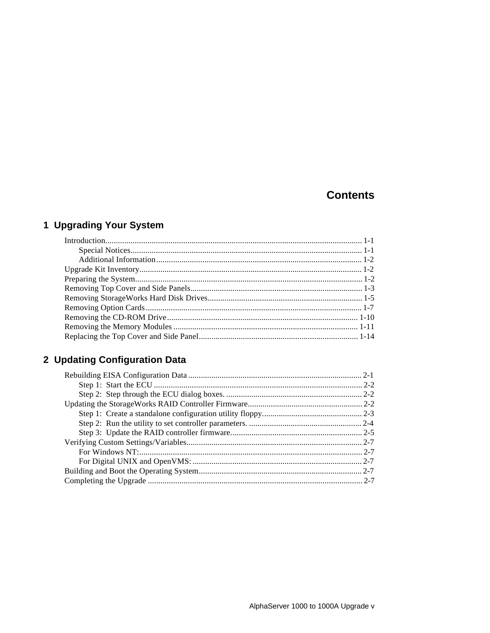## **Contents**

## 1 Upgrading Your System

## 2 Updating Configuration Data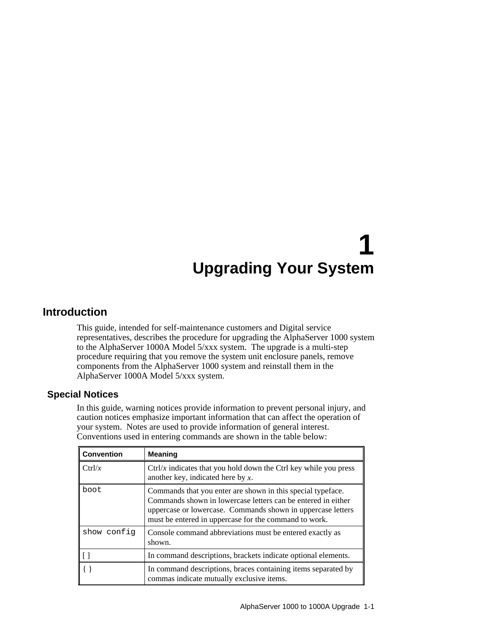## **Introduction**

This guide, intended for self-maintenance customers and Digital service representatives, describes the procedure for upgrading the AlphaServer 1000 system to the AlphaServer 1000A Model 5/xxx system. The upgrade is a multi-step procedure requiring that you remove the system unit enclosure panels, remove components from the AlphaServer 1000 system and reinstall them in the AlphaServer 1000A Model 5/xxx system.

#### **Special Notices**

In this guide, warning notices provide information to prevent personal injury, and caution notices emphasize important information that can affect the operation of your system. Notes are used to provide information of general interest. Conventions used in entering commands are shown in the table below:

| <b>Convention</b> | <b>Meaning</b>                                                                                                                                                                                                                                       |
|-------------------|------------------------------------------------------------------------------------------------------------------------------------------------------------------------------------------------------------------------------------------------------|
| Ctrl/x            | $Ctrl/x$ indicates that you hold down the Ctrl key while you press<br>another key, indicated here by $x$ .                                                                                                                                           |
| boot              | Commands that you enter are shown in this special type face.<br>Commands shown in lowercase letters can be entered in either<br>uppercase or lowercase. Commands shown in uppercase letters<br>must be entered in uppercase for the command to work. |
| show config       | Console command abbreviations must be entered exactly as<br>shown.                                                                                                                                                                                   |
| l I I             | In command descriptions, brackets indicate optional elements.                                                                                                                                                                                        |
|                   | In command descriptions, braces containing items separated by<br>commas indicate mutually exclusive items.                                                                                                                                           |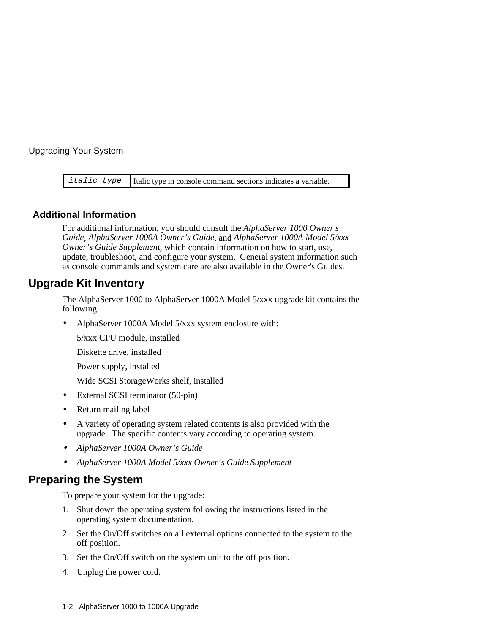*italic* type  $\vert$  Italic type in console command sections indicates a variable.

#### **Additional Information**

For additional information, you should consult the *AlphaServer 1000 Owner's Guide*, *AlphaServer 1000A Owner's Guide*, and *AlphaServer 1000A Model 5/xxx Owner's Guide Supplement*, which contain information on how to start, use, update, troubleshoot, and configure your system. General system information such as console commands and system care are also available in the Owner's Guides.

## **Upgrade Kit Inventory**

The AlphaServer 1000 to AlphaServer 1000A Model 5/xxx upgrade kit contains the following:

• AlphaServer 1000A Model 5/xxx system enclosure with:

5/xxx CPU module, installed

Diskette drive, installed

Power supply, installed

Wide SCSI StorageWorks shelf, installed

- External SCSI terminator (50-pin)
- Return mailing label
- A variety of operating system related contents is also provided with the upgrade. The specific contents vary according to operating system.
- *AlphaServer 1000A Owner's Guide*
- *AlphaServer 1000A Model 5/xxx Owner's Guide Supplement*

## **Preparing the System**

To prepare your system for the upgrade:

- 1. Shut down the operating system following the instructions listed in the operating system documentation.
- 2. Set the On/Off switches on all external options connected to the system to the off position.
- 3. Set the On/Off switch on the system unit to the off position.
- 4. Unplug the power cord.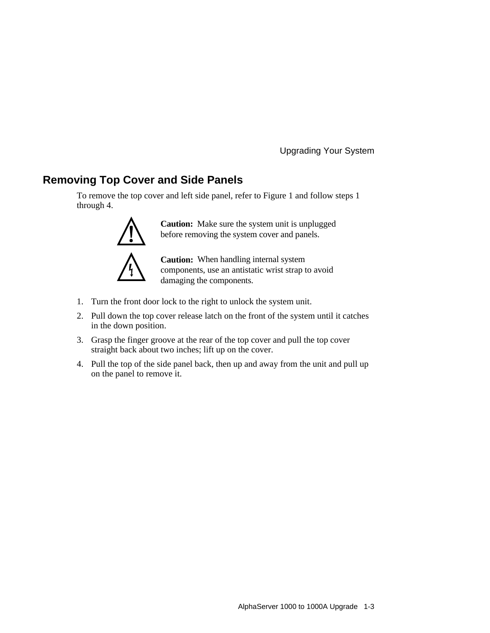## **Removing Top Cover and Side Panels**

To remove the top cover and left side panel, refer to Figure 1 and follow steps 1 through 4.



**Caution:** Make sure the system unit is unplugged before removing the system cover and panels.

**Caution:** When handling internal system components, use an antistatic wrist strap to avoid damaging the components.

- 1. Turn the front door lock to the right to unlock the system unit.
- 2. Pull down the top cover release latch on the front of the system until it catches in the down position.
- 3. Grasp the finger groove at the rear of the top cover and pull the top cover straight back about two inches; lift up on the cover.
- 4. Pull the top of the side panel back, then up and away from the unit and pull up on the panel to remove it.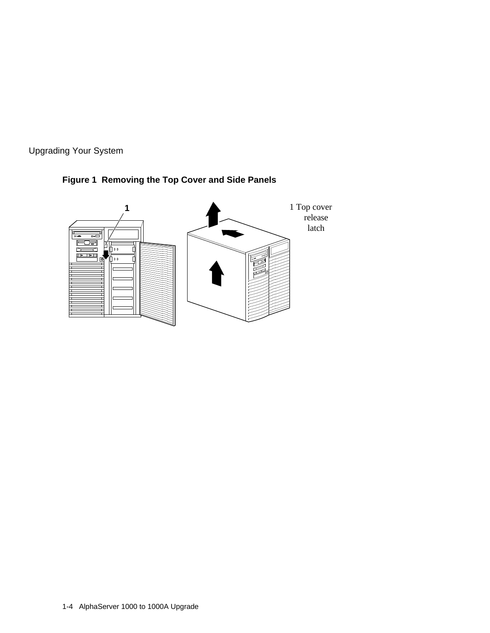

## **Figure 1 Removing the Top Cover and Side Panels**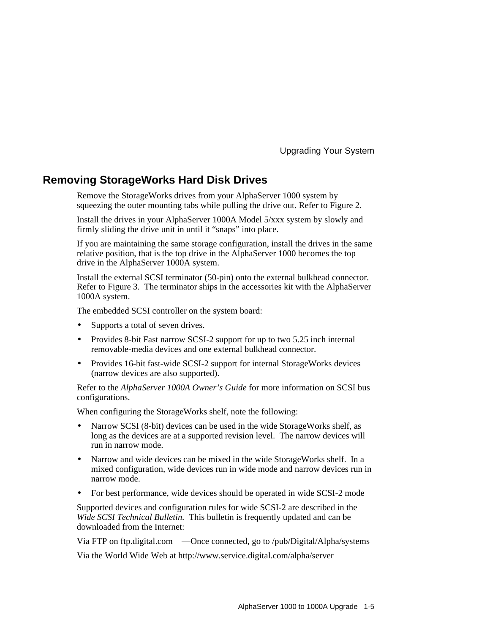## **Removing StorageWorks Hard Disk Drives**

Remove the StorageWorks drives from your AlphaServer 1000 system by squeezing the outer mounting tabs while pulling the drive out. Refer to Figure 2.

Install the drives in your AlphaServer 1000A Model 5/xxx system by slowly and firmly sliding the drive unit in until it "snaps" into place.

If you are maintaining the same storage configuration, install the drives in the same relative position, that is the top drive in the AlphaServer 1000 becomes the top drive in the AlphaServer 1000A system.

Install the external SCSI terminator (50-pin) onto the external bulkhead connector. Refer to Figure 3. The terminator ships in the accessories kit with the AlphaServer 1000A system.

The embedded SCSI controller on the system board:

- Supports a total of seven drives.
- Provides 8-bit Fast narrow SCSI-2 support for up to two 5.25 inch internal removable-media devices and one external bulkhead connector.
- Provides 16-bit fast-wide SCSI-2 support for internal StorageWorks devices (narrow devices are also supported).

Refer to the *AlphaServer 1000A Owner's Guide* for more information on SCSI bus configurations.

When configuring the StorageWorks shelf, note the following:

- Narrow SCSI (8-bit) devices can be used in the wide StorageWorks shelf, as long as the devices are at a supported revision level. The narrow devices will run in narrow mode.
- Narrow and wide devices can be mixed in the wide StorageWorks shelf. In a mixed configuration, wide devices run in wide mode and narrow devices run in narrow mode.
- For best performance, wide devices should be operated in wide SCSI-2 mode

Supported devices and configuration rules for wide SCSI-2 are described in the *Wide SCSI Technical Bulletin.* This bulletin is frequently updated and can be downloaded from the Internet:

Via FTP on ftp.digital.com —Once connected, go to /pub/Digital/Alpha/systems

Via the World Wide Web at http://www.service.digital.com/alpha/server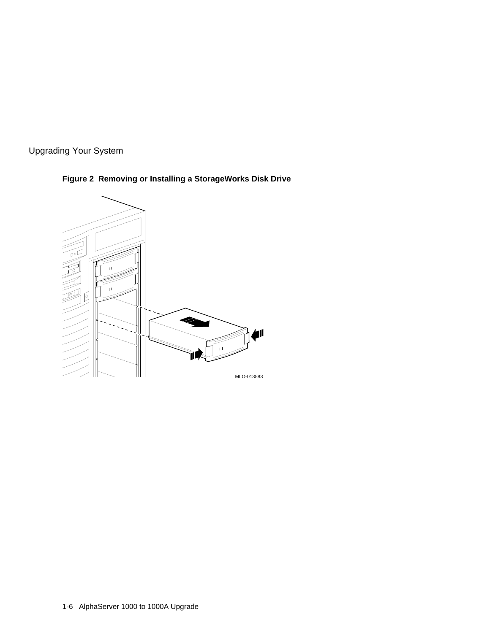



## **Figure 2 Removing or Installing a StorageWorks Disk Drive**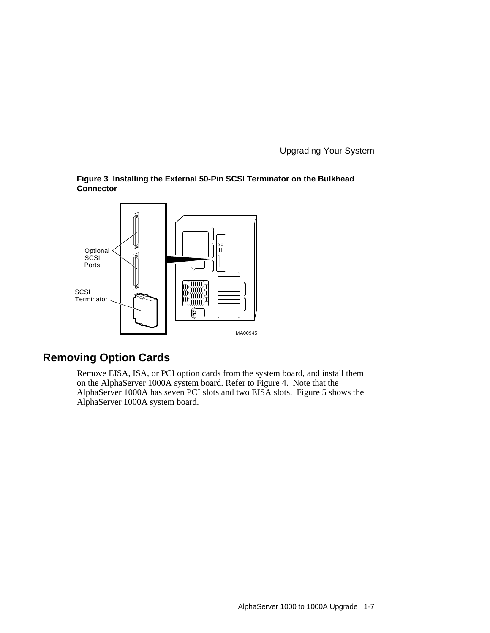



## **Removing Option Cards**

Remove EISA, ISA, or PCI option cards from the system board, and install them on the AlphaServer 1000A system board. Refer to Figure 4. Note that the AlphaServer 1000A has seven PCI slots and two EISA slots. Figure 5 shows the AlphaServer 1000A system board.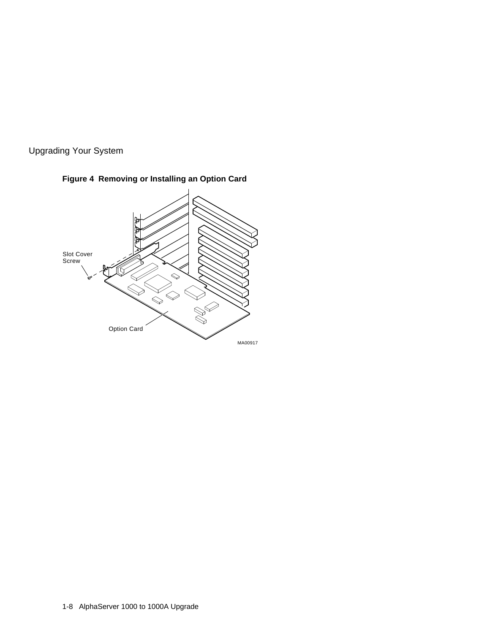



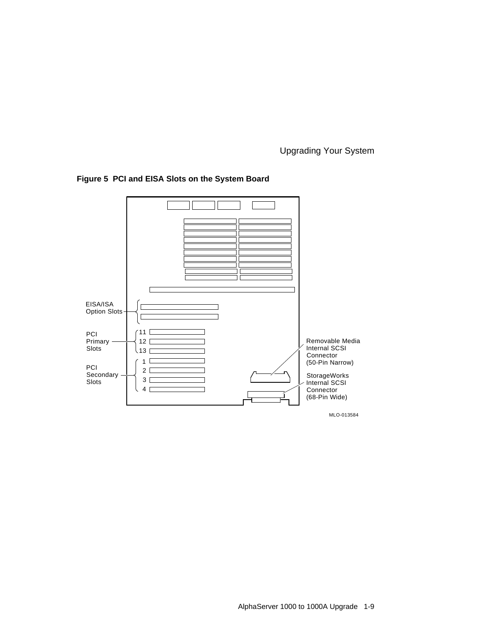

### **Figure 5 PCI and EISA Slots on the System Board**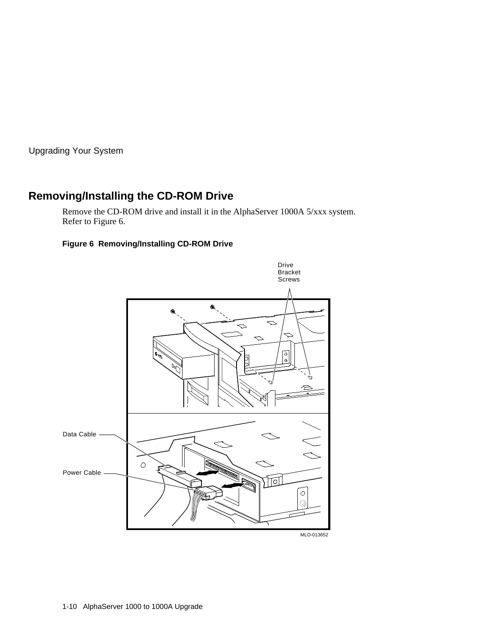## **Removing/Installing the CD-ROM Drive**

Remove the CD-ROM drive and install it in the AlphaServer 1000A 5/xxx system. Refer to Figure 6.

#### **Figure 6 Removing/Installing CD-ROM Drive**

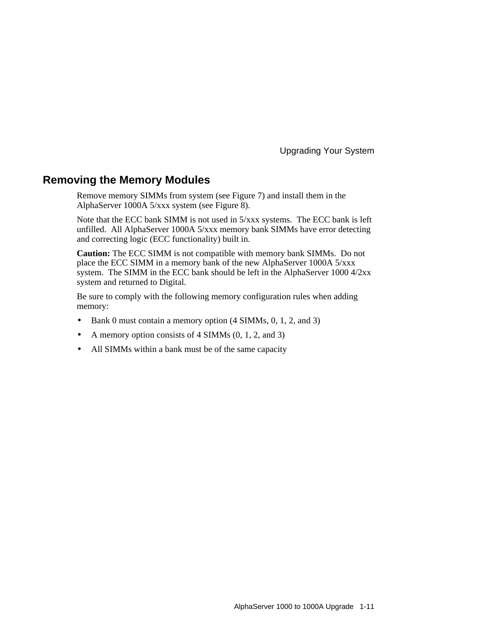### **Removing the Memory Modules**

Remove memory SIMMs from system (see Figure 7) and install them in the AlphaServer 1000A 5/xxx system (see Figure 8).

Note that the ECC bank SIMM is not used in 5/xxx systems. The ECC bank is left unfilled. All AlphaServer 1000A 5/xxx memory bank SIMMs have error detecting and correcting logic (ECC functionality) built in.

**Caution:** The ECC SIMM is not compatible with memory bank SIMMs. Do not place the ECC SIMM in a memory bank of the new AlphaServer 1000A 5/xxx system. The SIMM in the ECC bank should be left in the AlphaServer 1000 4/2xx system and returned to Digital.

Be sure to comply with the following memory configuration rules when adding memory:

- Bank 0 must contain a memory option (4 SIMMs, 0, 1, 2, and 3)
- A memory option consists of  $4 \text{ SIMMs } (0, 1, 2, \text{ and } 3)$
- All SIMMs within a bank must be of the same capacity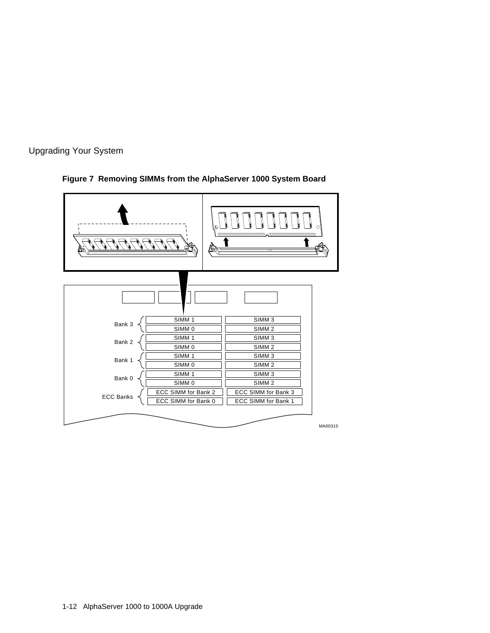



### **Figure 7 Removing SIMMs from the AlphaServer 1000 System Board**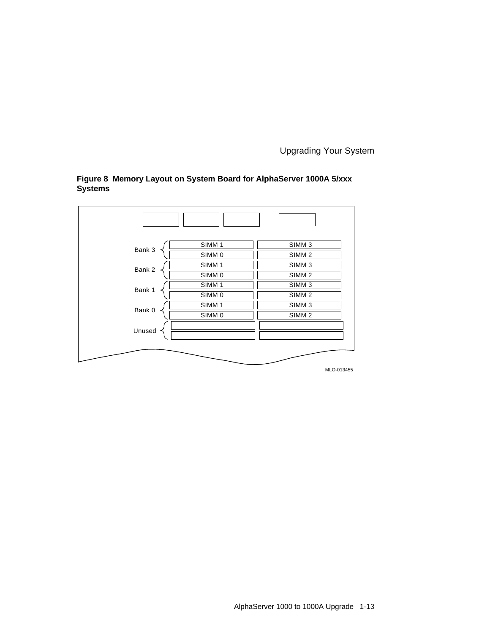

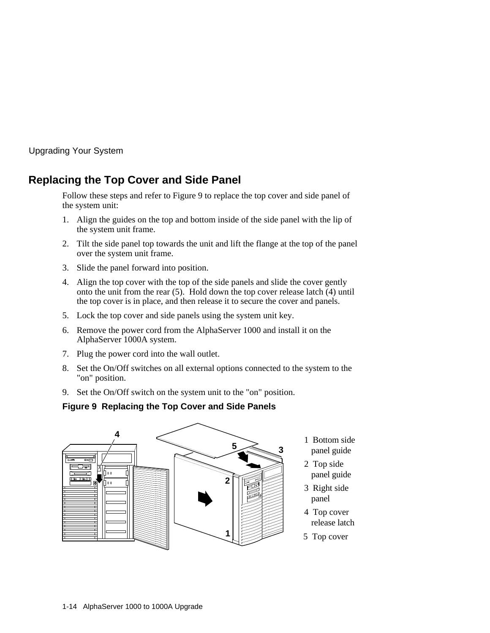## **Replacing the Top Cover and Side Panel**

Follow these steps and refer to Figure 9 to replace the top cover and side panel of the system unit:

- 1. Align the guides on the top and bottom inside of the side panel with the lip of the system unit frame.
- 2. Tilt the side panel top towards the unit and lift the flange at the top of the panel over the system unit frame.
- 3. Slide the panel forward into position.
- 4. Align the top cover with the top of the side panels and slide the cover gently onto the unit from the rear (5). Hold down the top cover release latch (4) until the top cover is in place, and then release it to secure the cover and panels.
- 5. Lock the top cover and side panels using the system unit key.
- 6. Remove the power cord from the AlphaServer 1000 and install it on the AlphaServer 1000A system.
- 7. Plug the power cord into the wall outlet.
- 8. Set the On/Off switches on all external options connected to the system to the "on" position.
- 9. Set the On/Off switch on the system unit to the "on" position.

#### **Figure 9 Replacing the Top Cover and Side Panels**

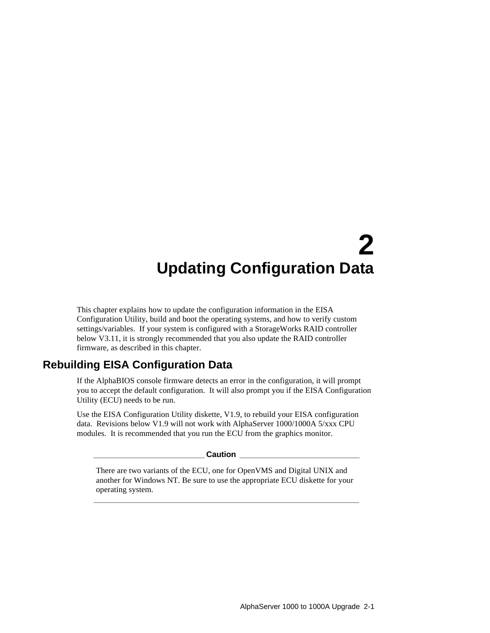# **2 Updating Configuration Data**

This chapter explains how to update the configuration information in the EISA Configuration Utility, build and boot the operating systems, and how to verify custom settings/variables. If your system is configured with a StorageWorks RAID controller below V3.11, it is strongly recommended that you also update the RAID controller firmware, as described in this chapter.

## **Rebuilding EISA Configuration Data**

If the AlphaBIOS console firmware detects an error in the configuration, it will prompt you to accept the default configuration. It will also prompt you if the EISA Configuration Utility (ECU) needs to be run.

Use the EISA Configuration Utility diskette, V1.9, to rebuild your EISA configuration data. Revisions below V1.9 will not work with AlphaServer 1000/1000A 5/xxx CPU modules. It is recommended that you run the ECU from the graphics monitor.

**\_\_\_\_\_\_\_\_\_\_\_\_\_\_\_\_\_\_\_\_\_\_\_\_\_ Caution \_\_\_\_\_\_\_\_\_\_\_\_\_\_\_\_\_\_\_\_\_\_\_\_\_\_\_**

There are two variants of the ECU, one for OpenVMS and Digital UNIX and another for Windows NT. Be sure to use the appropriate ECU diskette for your operating system.

**\_\_\_\_\_\_\_\_\_\_\_\_\_\_\_\_\_\_\_\_\_\_\_\_\_\_\_\_\_\_\_\_\_\_\_\_\_\_\_\_\_\_\_\_\_\_\_\_\_\_\_\_\_\_\_\_\_\_\_\_**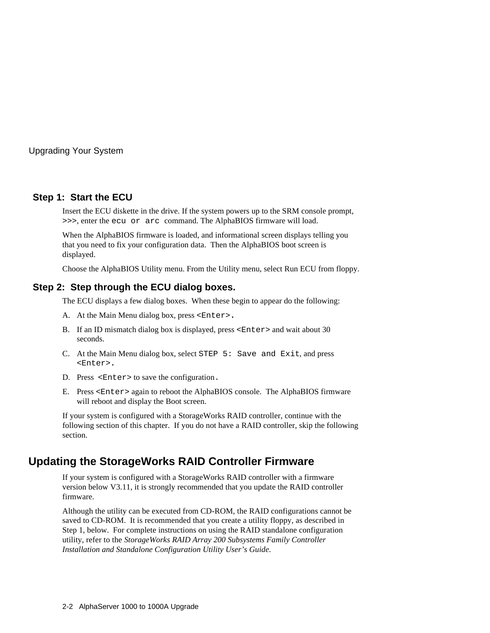#### **Step 1: Start the ECU**

Insert the ECU diskette in the drive. If the system powers up to the SRM console prompt, >>>, enter the ecu or arc command. The AlphaBIOS firmware will load.

When the AlphaBIOS firmware is loaded, and informational screen displays telling you that you need to fix your configuration data. Then the AlphaBIOS boot screen is displayed.

Choose the AlphaBIOS Utility menu. From the Utility menu, select Run ECU from floppy.

#### **Step 2: Step through the ECU dialog boxes.**

The ECU displays a few dialog boxes. When these begin to appear do the following:

- A. At the Main Menu dialog box, press <Enter>**.**
- B. If an ID mismatch dialog box is displayed, press <Enter> and wait about 30 seconds.
- C. At the Main Menu dialog box, select STEP 5: Save and Exit, and press <Enter>**.**
- D. Press <Enter> to save the configuration.
- E. Press <Enter> again to reboot the AlphaBIOS console. The AlphaBIOS firmware will reboot and display the Boot screen.

If your system is configured with a StorageWorks RAID controller, continue with the following section of this chapter. If you do not have a RAID controller, skip the following section.

## **Updating the StorageWorks RAID Controller Firmware**

If your system is configured with a StorageWorks RAID controller with a firmware version below V3.11, it is strongly recommended that you update the RAID controller firmware.

Although the utility can be executed from CD-ROM, the RAID configurations cannot be saved to CD-ROM. It is recommended that you create a utility floppy, as described in Step 1, below. For complete instructions on using the RAID standalone configuration utility, refer to the *StorageWorks RAID Array 200 Subsystems Family Controller Installation and Standalone Configuration Utility User's Guide.*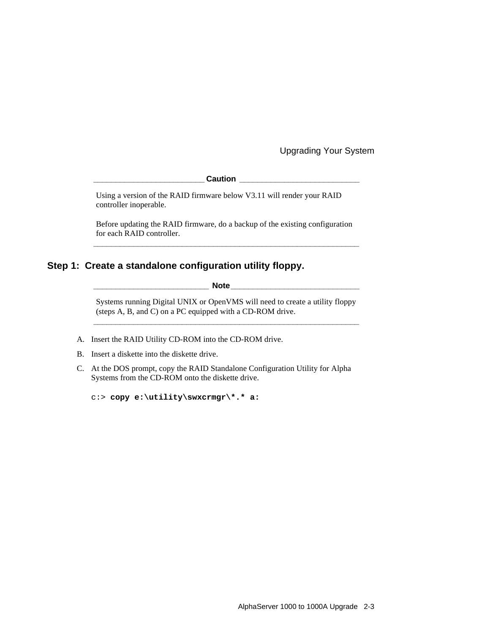**\_\_\_\_\_\_\_\_\_\_\_\_\_\_\_\_\_\_\_\_\_\_\_\_\_ Caution \_\_\_\_\_\_\_\_\_\_\_\_\_\_\_\_\_\_\_\_\_\_\_\_\_\_\_**

Using a version of the RAID firmware below V3.11 will render your RAID controller inoperable.

Before updating the RAID firmware, do a backup of the existing configuration for each RAID controller. **\_\_\_\_\_\_\_\_\_\_\_\_\_\_\_\_\_\_\_\_\_\_\_\_\_\_\_\_\_\_\_\_\_\_\_\_\_\_\_\_\_\_\_\_\_\_\_\_\_\_\_\_\_\_\_\_\_\_\_\_**

#### **Step 1: Create a standalone configuration utility floppy.**

**\_\_\_\_\_\_\_\_\_\_\_\_\_\_\_\_\_\_\_\_\_\_\_\_\_\_ Note\_\_\_\_\_\_\_\_\_\_\_\_\_\_\_\_\_\_\_\_\_\_\_\_\_\_\_\_\_**

Systems running Digital UNIX or OpenVMS will need to create a utility floppy (steps A, B, and C) on a PC equipped with a CD-ROM drive. **\_\_\_\_\_\_\_\_\_\_\_\_\_\_\_\_\_\_\_\_\_\_\_\_\_\_\_\_\_\_\_\_\_\_\_\_\_\_\_\_\_\_\_\_\_\_\_\_\_\_\_\_\_\_\_\_\_\_\_\_**

- A. Insert the RAID Utility CD-ROM into the CD-ROM drive.
- B. Insert a diskette into the diskette drive.
- C. At the DOS prompt, copy the RAID Standalone Configuration Utility for Alpha Systems from the CD-ROM onto the diskette drive.

```
c:> copy e:\utility\swxcrmgr\*.* a:
```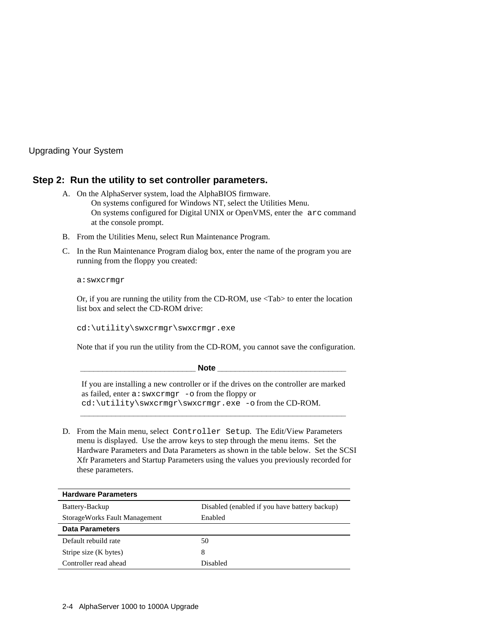#### **Step 2: Run the utility to set controller parameters.**

- A. On the AlphaServer system, load the AlphaBIOS firmware. On systems configured for Windows NT, select the Utilities Menu. On systems configured for Digital UNIX or OpenVMS, enter the arc command at the console prompt.
- B. From the Utilities Menu, select Run Maintenance Program.
- C. In the Run Maintenance Program dialog box, enter the name of the program you are running from the floppy you created:

a:swxcrmgr

Or, if you are running the utility from the CD-ROM, use <Tab> to enter the location list box and select the CD-ROM drive:

cd:\utility\swxcrmgr\swxcrmgr.exe

Note that if you run the utility from the CD-ROM, you cannot save the configuration.

| <b>Note</b>                                                                                                                                                                                           |
|-------------------------------------------------------------------------------------------------------------------------------------------------------------------------------------------------------|
| If you are installing a new controller or if the drives on the controller are marked<br>as failed, enter a: swxcrmgr -o from the floppy or<br>$cd:\utility\swxcrmgr\swxcrmgr.exe - ofrom the CD-ROM.$ |

D. From the Main menu, select Controller Setup. The Edit/View Parameters menu is displayed. Use the arrow keys to step through the menu items. Set the Hardware Parameters and Data Parameters as shown in the table below. Set the SCSI Xfr Parameters and Startup Parameters using the values you previously recorded for these parameters.

| <b>Hardware Parameters</b>    |                                               |
|-------------------------------|-----------------------------------------------|
| Battery-Backup                | Disabled (enabled if you have battery backup) |
| StorageWorks Fault Management | Enabled                                       |
| <b>Data Parameters</b>        |                                               |
| Default rebuild rate          | 50                                            |
| Stripe size (K bytes)         | 8                                             |
| Controller read ahead         | Disabled                                      |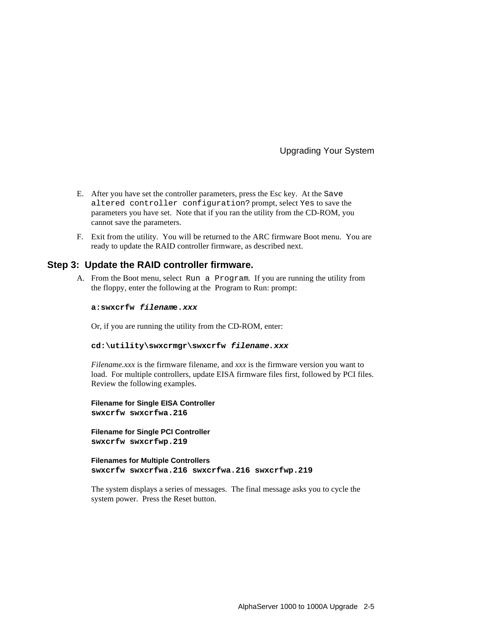- E. After you have set the controller parameters, press the Esc key. At the Save altered controller configuration? prompt, select Yes to save the parameters you have set. Note that if you ran the utility from the CD-ROM, you cannot save the parameters.
- F. Exit from the utility. You will be returned to the ARC firmware Boot menu. You are ready to update the RAID controller firmware, as described next.

#### **Step 3: Update the RAID controller firmware.**

A. From the Boot menu, select Run a Program. If you are running the utility from the floppy, enter the following at the Program to Run: prompt:

#### **a:swxcrfw filename.xxx**

Or, if you are running the utility from the CD-ROM, enter:

#### **cd:\utility\swxcrmgr\swxcrfw filename.xxx**

*Filename.xxx* is the firmware filename, and *xxx* is the firmware version you want to load. For multiple controllers, update EISA firmware files first, followed by PCI files. Review the following examples.

**Filename for Single EISA Controller swxcrfw swxcrfwa.216**

**Filename for Single PCI Controller swxcrfw swxcrfwp.219**

**Filenames for Multiple Controllers swxcrfw swxcrfwa.216 swxcrfwa.216 swxcrfwp.219**

The system displays a series of messages. The final message asks you to cycle the system power. Press the Reset button.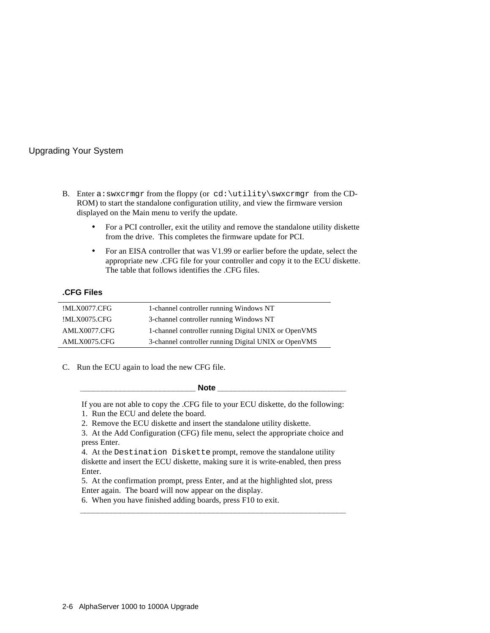- B. Enter a: swxcrmgr from the floppy (or cd: \utility\swxcrmgr from the CD-ROM) to start the standalone configuration utility, and view the firmware version displayed on the Main menu to verify the update.
	- For a PCI controller, exit the utility and remove the standalone utility diskette from the drive. This completes the firmware update for PCI.
	- For an EISA controller that was V1.99 or earlier before the update, select the appropriate new .CFG file for your controller and copy it to the ECU diskette. The table that follows identifies the .CFG files.

#### **.CFG Files**

| !MLX0077.CFG | 1-channel controller running Windows NT              |
|--------------|------------------------------------------------------|
| !MLX0075.CFG | 3-channel controller running Windows NT              |
| AMLX0077.CFG | 1-channel controller running Digital UNIX or OpenVMS |
| AMLX0075.CFG | 3-channel controller running Digital UNIX or OpenVMS |

C. Run the ECU again to load the new CFG file.

**\_\_\_\_\_\_\_\_\_\_\_\_\_\_\_\_\_\_\_\_\_\_\_\_\_\_ Note \_\_\_\_\_\_\_\_\_\_\_\_\_\_\_\_\_\_\_\_\_\_\_\_\_\_\_\_\_**

If you are not able to copy the .CFG file to your ECU diskette, do the following:

- 1. Run the ECU and delete the board.
- 2. Remove the ECU diskette and insert the standalone utility diskette.

3. At the Add Configuration (CFG) file menu, select the appropriate choice and press Enter.

4. At the Destination Diskette prompt, remove the standalone utility diskette and insert the ECU diskette, making sure it is write-enabled, then press Enter.

5. At the confirmation prompt, press Enter, and at the highlighted slot, press Enter again. The board will now appear on the display.

**\_\_\_\_\_\_\_\_\_\_\_\_\_\_\_\_\_\_\_\_\_\_\_\_\_\_\_\_\_\_\_\_\_\_\_\_\_\_\_\_\_\_\_\_\_\_\_\_\_\_\_\_\_\_\_\_\_\_\_\_**

6. When you have finished adding boards, press F10 to exit.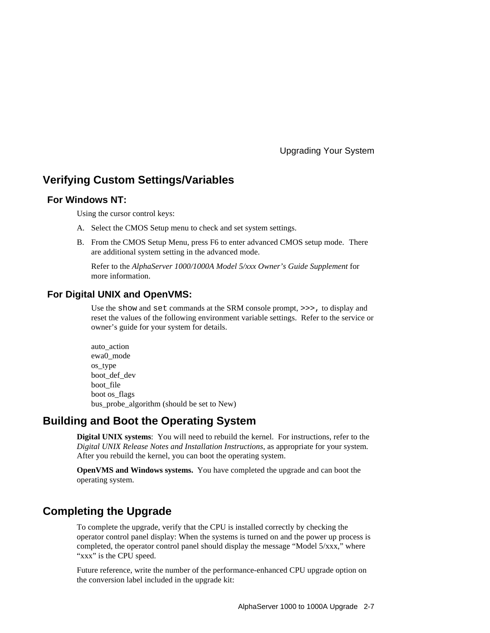### **Verifying Custom Settings/Variables**

#### **For Windows NT:**

Using the cursor control keys:

- A. Select the CMOS Setup menu to check and set system settings.
- B. From the CMOS Setup Menu, press F6 to enter advanced CMOS setup mode. There are additional system setting in the advanced mode.

 Refer to the *AlphaServer 1000/1000A Model 5/xxx Owner's Guide Supplement* for more information.

#### **For Digital UNIX and OpenVMS:**

 Use the show and set commands at the SRM console prompt, >>>, to display and reset the values of the following environment variable settings. Refer to the service or owner's guide for your system for details.

auto\_action ewa0\_mode os\_type boot def dev boot file boot os\_flags bus\_probe\_algorithm (should be set to New)

#### **Building and Boot the Operating System**

**Digital UNIX systems**: You will need to rebuild the kernel. For instructions, refer to the *Digital UNIX Release Notes and Installation Instructions*, as appropriate for your system*.* After you rebuild the kernel, you can boot the operating system.

**OpenVMS and Windows systems.** You have completed the upgrade and can boot the operating system.

## **Completing the Upgrade**

To complete the upgrade, verify that the CPU is installed correctly by checking the operator control panel display: When the systems is turned on and the power up process is completed, the operator control panel should display the message "Model 5/xxx," where "xxx" is the CPU speed.

Future reference, write the number of the performance-enhanced CPU upgrade option on the conversion label included in the upgrade kit: